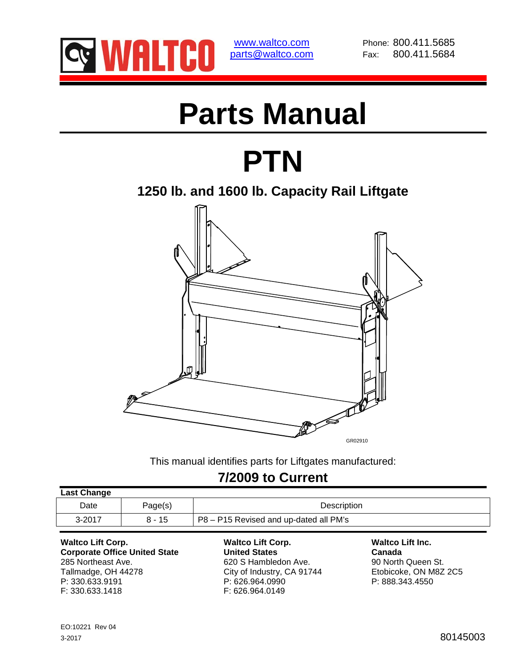

www.waltco.com Phone: 800.411.5685 parts@waltco.com Fax: 800.411.5684

# **Parts Manual**

## **PTN**

**1250 lb. and 1600 lb. Capacity Rail Liftgate** 



This manual identifies parts for Liftgates manufactured:

### **7/2009 to Current**

| <b>Last Change</b> |          |                                        |
|--------------------|----------|----------------------------------------|
| Date               | Page(s)  | Description                            |
| $3 - 2017$         | $8 - 15$ | P8 – P15 Revised and up-dated all PM's |
|                    |          |                                        |

**Waltco Lift Corp. Waltco Lift Corp. Waltco Lift Inc. Corporate Office United State Canada Canada** 285 Northeast Ave. **620 S Hambledon Ave.** 90 North Queen St. Tallmadge, OH 44278 City of Industry, CA 91744 Etobicoke, ON M8Z 2C5<br>
P: 330.633.9191 P: 626.964.0990 P: 626.964.0990 F: 330.633.1418

P: 330.633.9191 P: 626.964.0990 P: 888.343.4550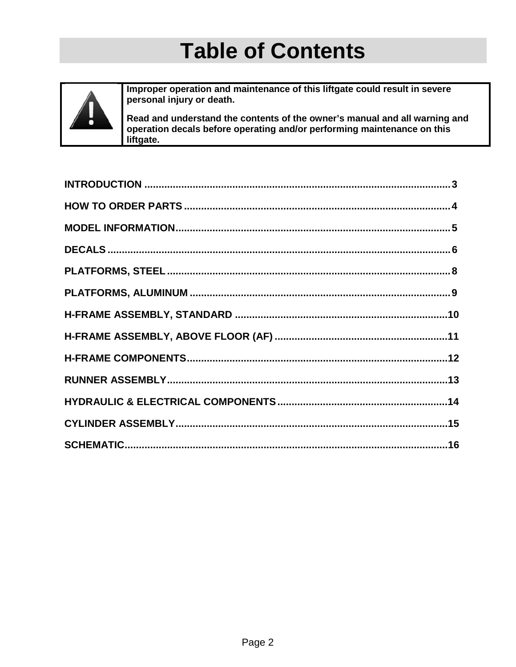### **Table of Contents**



Improper operation and maintenance of this liftgate could result in severe personal injury or death.

Read and understand the contents of the owner's manual and all warning and operation decals before operating and/or performing maintenance on this liftgate.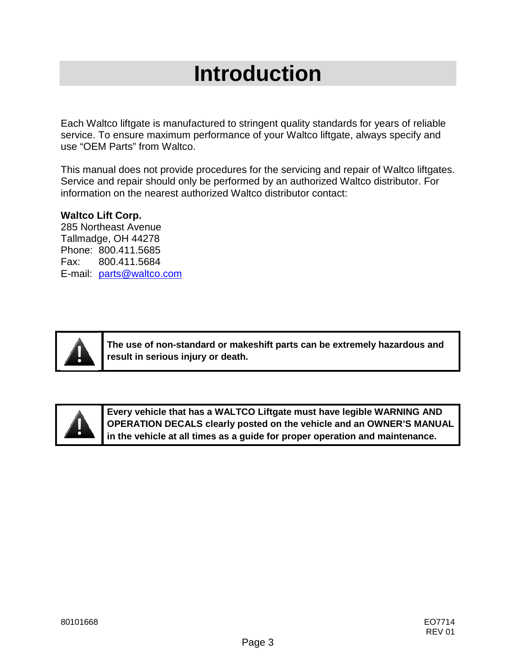### **Introduction**

Each Waltco liftgate is manufactured to stringent quality standards for years of reliable service. To ensure maximum performance of your Waltco liftgate, always specify and use "OEM Parts" from Waltco.

This manual does not provide procedures for the servicing and repair of Waltco liftgates. Service and repair should only be performed by an authorized Waltco distributor. For information on the nearest authorized Waltco distributor contact:

#### **Waltco Lift Corp.**

285 Northeast Avenue Tallmadge, OH 44278 Phone: 800.411.5685 Fax: 800.411.5684 E-mail: parts@waltco.com



**The use of non-standard or makeshift parts can be extremely hazardous and result in serious injury or death.**



**Every vehicle that has a WALTCO Liftgate must have legible WARNING AND OPERATION DECALS clearly posted on the vehicle and an OWNER'S MANUAL in the vehicle at all times as a guide for proper operation and maintenance.**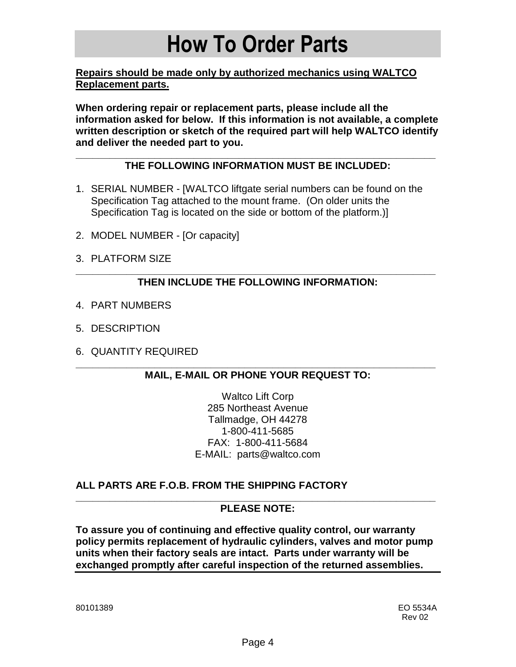### **How To Order Parts**

**Repairs should be made only by authorized mechanics using WALTCO Replacement parts.** 

**When ordering repair or replacement parts, please include all the information asked for below. If this information is not available, a complete written description or sketch of the required part will help WALTCO identify and deliver the needed part to you.** 

#### **\_\_\_\_\_\_\_\_\_\_\_\_\_\_\_\_\_\_\_\_\_\_\_\_\_\_\_\_\_\_\_\_\_\_\_\_\_\_\_\_\_\_\_\_\_\_\_\_\_\_\_\_\_\_\_\_\_\_\_\_\_\_\_\_ THE FOLLOWING INFORMATION MUST BE INCLUDED:**

- 1. SERIAL NUMBER [WALTCO liftgate serial numbers can be found on the Specification Tag attached to the mount frame. (On older units the Specification Tag is located on the side or bottom of the platform.)]
- 2. MODEL NUMBER [Or capacity]
- 3. PLATFORM SIZE

#### **\_\_\_\_\_\_\_\_\_\_\_\_\_\_\_\_\_\_\_\_\_\_\_\_\_\_\_\_\_\_\_\_\_\_\_\_\_\_\_\_\_\_\_\_\_\_\_\_\_\_\_\_\_\_\_\_\_\_\_\_\_\_\_\_ THEN INCLUDE THE FOLLOWING INFORMATION:**

- 4. PART NUMBERS
- 5. DESCRIPTION
- 6. QUANTITY REQUIRED

#### **\_\_\_\_\_\_\_\_\_\_\_\_\_\_\_\_\_\_\_\_\_\_\_\_\_\_\_\_\_\_\_\_\_\_\_\_\_\_\_\_\_\_\_\_\_\_\_\_\_\_\_\_\_\_\_\_\_\_\_\_\_\_\_\_ MAIL, E-MAIL OR PHONE YOUR REQUEST TO:**

Waltco Lift Corp 285 Northeast Avenue Tallmadge, OH 44278 1-800-411-5685 FAX: 1-800-411-5684 E-MAIL: parts@waltco.com

#### **ALL PARTS ARE F.O.B. FROM THE SHIPPING FACTORY**

#### **\_\_\_\_\_\_\_\_\_\_\_\_\_\_\_\_\_\_\_\_\_\_\_\_\_\_\_\_\_\_\_\_\_\_\_\_\_\_\_\_\_\_\_\_\_\_\_\_\_\_\_\_\_\_\_\_\_\_\_\_\_\_\_\_ PLEASE NOTE:**

**To assure you of continuing and effective quality control, our warranty policy permits replacement of hydraulic cylinders, valves and motor pump units when their factory seals are intact. Parts under warranty will be exchanged promptly after careful inspection of the returned assemblies.**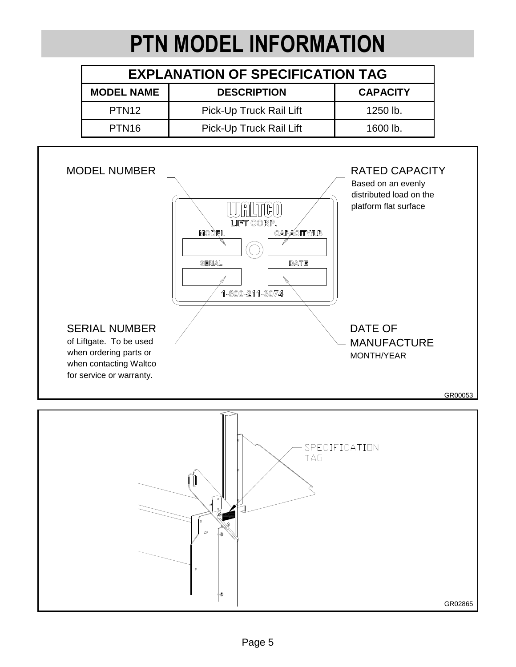## **PTN MODEL INFORMATION**

| <b>EXPLANATION OF SPECIFICATION TAG</b> |                         |                 |  |  |  |  |
|-----------------------------------------|-------------------------|-----------------|--|--|--|--|
| <b>MODEL NAME</b>                       | <b>DESCRIPTION</b>      | <b>CAPACITY</b> |  |  |  |  |
| PTN <sub>12</sub>                       | Pick-Up Truck Rail Lift | 1250 lb.        |  |  |  |  |
| PTN <sub>16</sub>                       | Pick-Up Truck Rail Lift | 1600 lb.        |  |  |  |  |



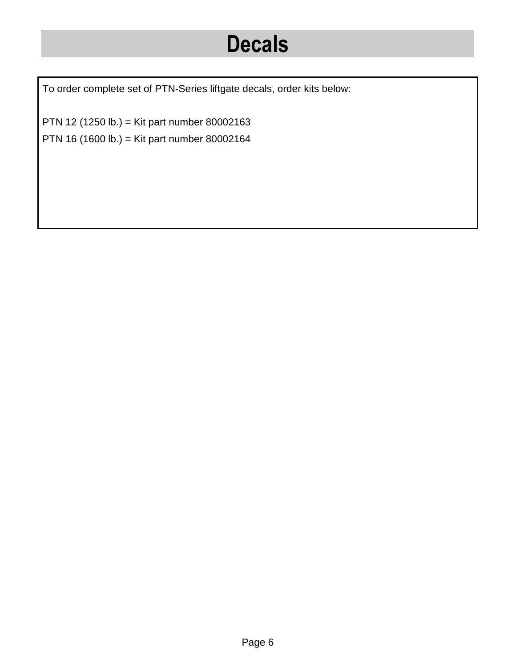### **Decals**

To order complete set of PTN-Series liftgate decals, order kits below:

PTN 12 (1250 lb.) = Kit part number 80002163 PTN 16 (1600 lb.) = Kit part number 80002164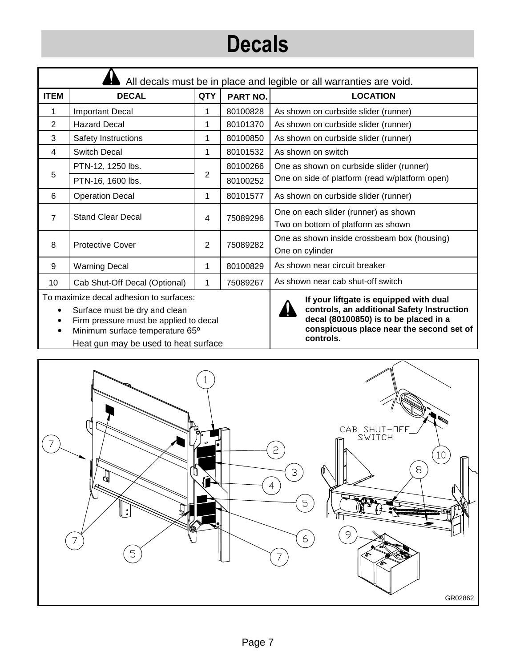## **Decals**

| All decals must be in place and legible or all warranties are void. |                                                                                   |            |          |                                                                            |  |  |
|---------------------------------------------------------------------|-----------------------------------------------------------------------------------|------------|----------|----------------------------------------------------------------------------|--|--|
| <b>ITEM</b>                                                         | <b>DECAL</b>                                                                      | <b>QTY</b> | PART NO. | <b>LOCATION</b>                                                            |  |  |
|                                                                     | <b>Important Decal</b>                                                            |            | 80100828 | As shown on curbside slider (runner)                                       |  |  |
| 2                                                                   | <b>Hazard Decal</b>                                                               | 1          | 80101370 | As shown on curbside slider (runner)                                       |  |  |
| 3                                                                   | Safety Instructions                                                               | 1          | 80100850 | As shown on curbside slider (runner)                                       |  |  |
| 4                                                                   | Switch Decal                                                                      | 1          | 80101532 | As shown on switch                                                         |  |  |
|                                                                     | PTN-12, 1250 lbs.                                                                 |            | 80100266 | One as shown on curbside slider (runner)                                   |  |  |
| 5                                                                   | PTN-16, 1600 lbs.                                                                 | 2          | 80100252 | One on side of platform (read w/platform open)                             |  |  |
| 6                                                                   | <b>Operation Decal</b>                                                            | 1          | 80101577 | As shown on curbside slider (runner)                                       |  |  |
| 7                                                                   | <b>Stand Clear Decal</b>                                                          | 4          | 75089296 | One on each slider (runner) as shown<br>Two on bottom of platform as shown |  |  |
| 8                                                                   | <b>Protective Cover</b>                                                           | 2          | 75089282 | One as shown inside crossbeam box (housing)<br>One on cylinder             |  |  |
| 9                                                                   | <b>Warning Decal</b>                                                              | 1          | 80100829 | As shown near circuit breaker                                              |  |  |
| 10                                                                  | Cab Shut-Off Decal (Optional)                                                     | 1          | 75089267 | As shown near cab shut-off switch                                          |  |  |
|                                                                     | To maximize decal adhesion to surfaces:<br>If your liftgate is equipped with dual |            |          |                                                                            |  |  |

- Surface must be dry and clean
- Firm pressure must be applied to decal
- Minimum surface temperature 65º
- Heat gun may be used to heat surface



**If your liftgate is equipped with dual controls, an additional Safety Instruction decal (80100850) is to be placed in a conspicuous place near the second set of controls.** 

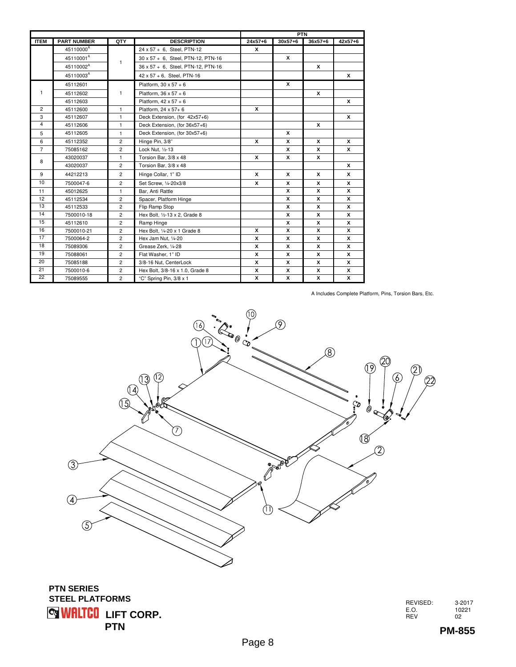|                |                       |                |                                    |              | <b>PTN</b>  |             |              |  |
|----------------|-----------------------|----------------|------------------------------------|--------------|-------------|-------------|--------------|--|
| <b>ITEM</b>    | <b>PART NUMBER</b>    | QTY            | <b>DESCRIPTION</b>                 | $24x57+6$    | $30x57 + 6$ | $36x57 + 6$ | $42x57+6$    |  |
|                | 45110000 <sup>A</sup> |                | 24 x 57 + 6, Steel, PTN-12         | x            |             |             |              |  |
|                | 45110001 <sup>A</sup> |                | 30 x 57 + 6, Steel, PTN-12, PTN-16 |              | x           |             |              |  |
|                | 45110002 <sup>A</sup> | 1              | 36 x 57 + 6, Steel, PTN-12, PTN-16 |              |             | x           |              |  |
|                | 45110003 <sup>A</sup> |                | 42 x 57 + 6, Steel, PTN-16         |              |             |             | x            |  |
|                | 45112601              |                | Platform, $30 \times 57 + 6$       |              | x           |             |              |  |
| 1              | 45112602              | $\mathbf{1}$   | Platform, $36 \times 57 + 6$       |              |             | x           |              |  |
|                | 45112603              |                | Platform, $42 \times 57 + 6$       |              |             |             | $\mathsf{x}$ |  |
| $\overline{2}$ | 45112600              | $\mathbf{1}$   | Platform, 24 x 57+ 6               | $\mathbf{x}$ |             |             |              |  |
| 3              | 45112607              | $\mathbf{1}$   | Deck Extension, (for 42x57+6)      |              |             |             | x            |  |
| $\overline{4}$ | 45112606              | $\mathbf{1}$   | Deck Extension, (for 36x57+6)      |              |             | x           |              |  |
| 5              | 45112605              | $\mathbf{1}$   | Deck Extension, (for 30x57+6)      |              | x           |             |              |  |
| 6              | 45112352              | $\overline{2}$ | Hinge Pin, 3/8"                    | x            | x           | x           | x            |  |
| $\overline{7}$ | 75085162              | $\overline{2}$ | Lock Nut, 1/2-13                   |              | x           | x           | x            |  |
|                | 43020037              | $\mathbf{1}$   | Torsion Bar, 3/8 x 48              | x            | x           | x           |              |  |
| 8              | 43020037              | $\overline{c}$ | Torsion Bar, 3/8 x 48              |              |             |             | x            |  |
| 9              | 44212213              | $\overline{2}$ | Hinge Collar, 1" ID                | x            | x           | x           | x            |  |
| 10             | 7500047-6             | $\overline{2}$ | Set Screw, 1/4-20x3/8              | x            | x           | x           | x            |  |
| 11             | 45012625              | $\mathbf{1}$   | Bar, Anti Rattle                   |              | x           | x           | x            |  |
| 12             | 45112534              | $\overline{2}$ | Spacer, Platform Hinge             |              | x           | x           | x            |  |
| 13             | 45112533              | $\overline{2}$ | Flip Ramp Stop                     |              | x           | x           | x            |  |
| 14             | 7500010-18            | $\overline{2}$ | Hex Bolt, 1/2-13 x 2, Grade 8      |              | x           | x           | x            |  |
| 15             | 45112610              | $\overline{2}$ | Ramp Hinge                         |              | x           | x           | x            |  |
| 16             | 7500010-21            | $\overline{2}$ | Hex Bolt, 1/4-20 x 1 Grade 8       | x            | x           | x           | x            |  |
| 17             | 7500064-2             | $\overline{c}$ | Hex Jam Nut, 1/4-20                | x            | x           | X           | X            |  |
| 18             | 75089306              | $\overline{2}$ | Grease Zerk, 1/4-28                | X            | x           | x           | x            |  |
| 19             | 75088061              | $\overline{2}$ | Flat Washer, 1" ID                 | x            | x           | x           | x            |  |
| 20             | 75085188              | $\overline{2}$ | 3/8-16 Nut, CenterLock             | x            | x           | x           | x            |  |
| 21             | 7500010-6             | $\overline{c}$ | Hex Bolt, 3/8-16 x 1.0, Grade 8    | x            | x           | X           | X            |  |
| 22             | 75089555              | $\overline{c}$ | "C" Spring Pin, 3/8 x 1            | x            | x           | x           | x            |  |

A Includes Complete Platform, Pins, Torsion Bars, Etc.



**WRLTCO LIFT CORP. PTN PTN SERIES STEEL PLATFORMS**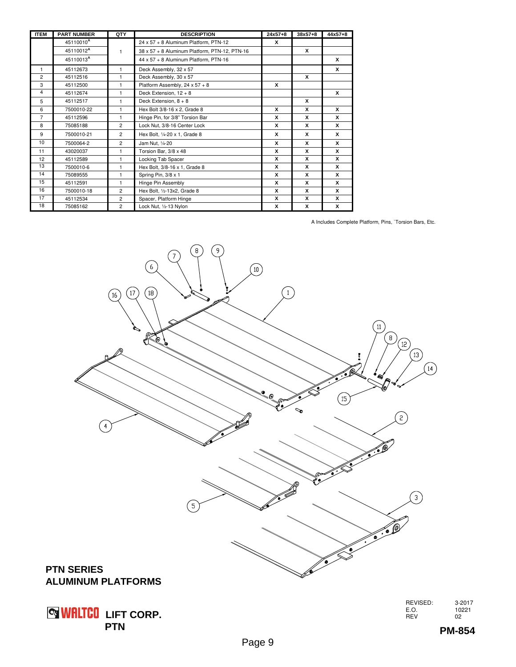| <b>ITEM</b>    | <b>PART NUMBER</b>    | QTY            | <b>DESCRIPTION</b>                            | $24x57+8$ | $38x57 + 8$ | $44x57+8$ |
|----------------|-----------------------|----------------|-----------------------------------------------|-----------|-------------|-----------|
|                | 45110010 <sup>A</sup> |                | 24 x 57 + 8 Aluminum Platform, PTN-12         | x         |             |           |
|                | 45110012 <sup>A</sup> | $\mathbf{1}$   | 38 x 57 + 8 Aluminum Platform, PTN-12, PTN-16 |           | x           |           |
|                | 45110013 <sup>A</sup> |                | 44 x 57 + 8 Aluminum Platform, PTN-16         |           |             | x         |
| 1              | 45112673              | 1              | Deck Assembly, 32 x 57                        |           |             | x         |
| $\overline{2}$ | 45112516              | 1              | Deck Assembly, 30 x 57                        |           | x           |           |
| 3              | 45112500              | $\mathbf{1}$   | Platform Assembly, 24 x 57 + 8                | x         |             |           |
| 4              | 45112674              | 1              | Deck Extension, $12 + 8$                      |           |             | x         |
| 5              | 45112517              | $\mathbf{1}$   | Deck Extension, $8 + 8$                       |           | x           |           |
| 6              | 7500010-22            | $\mathbf{1}$   | Hex Bolt 3/8-16 x 2, Grade 8                  | x         | x           | x         |
| $\overline{7}$ | 45112596              | 1              | Hinge Pin, for 3/8" Torsion Bar               | x         | x           | x         |
| 8              | 75085188              | $\overline{2}$ | Lock Nut, 3/8-16 Center Lock                  | x         | x           | x         |
| 9              | 7500010-21            | $\overline{2}$ | Hex Bolt, 1/4-20 x 1, Grade 8                 | x         | x           | x         |
| 10             | 7500064-2             | $\overline{c}$ | Jam Nut, 1/4-20                               | x         | x           | x         |
| 11             | 43020037              | 1              | Torsion Bar, 3/8 x 48                         | x         | x           | x         |
| 12             | 45112589              | 1              | Locking Tab Spacer                            | x         | x           | x         |
| 13             | 7500010-6             | $\mathbf{1}$   | Hex Bolt, 3/8-16 x 1, Grade 8                 | x         | x           | x         |
| 14             | 75089555              | $\mathbf{1}$   | Spring Pin, 3/8 x 1                           | x         | x           | x         |
| 15             | 45112591              | 1              | Hinge Pin Assembly                            | x         | x           | x         |
| 16             | 7500010-18            | $\overline{c}$ | Hex Bolt, 1/2-13x2, Grade 8                   | X         | x           | x         |
| 17             | 45112534              | $\overline{2}$ | Spacer, Platform Hinge                        | x         | x           | x         |
| 18             | 75085162              | $\overline{c}$ | Lock Nut, 1/2-13 Nylon                        | X         | x           | x         |

A Includes Complete Platform, Pins, `Torsion Bars, Etc.



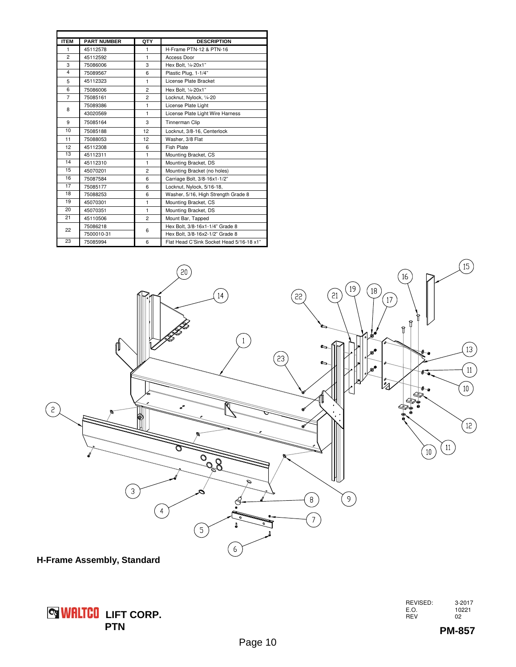| <b>ITEM</b>             | <b>PART NUMBER</b> | QTY            | <b>DESCRIPTION</b>                       |
|-------------------------|--------------------|----------------|------------------------------------------|
| 1                       | 45112578           | 1              | H-Frame PTN-12 & PTN-16                  |
| $\overline{c}$          | 45112592           | $\mathbf{1}$   | Access Door                              |
| 3                       | 75086006           | 3              | Hex Bolt, 1/4-20x1"                      |
| $\overline{\mathbf{4}}$ | 75089567           | 6              | Plastic Plug, 1-1/4"                     |
| 5                       | 45112323           | $\mathbf{1}$   | License Plate Bracket                    |
| 6                       | 75086006           | $\overline{2}$ | Hex Bolt, 1/4-20x1"                      |
| $\overline{7}$          | 75085161           | $\overline{c}$ | Locknut, Nylock, 1/4-20                  |
| 8                       | 75089386           | $\mathbf{1}$   | License Plate Light                      |
|                         | 43020569           | $\mathbf{1}$   | License Plate Light Wire Harness         |
| 9                       | 75085164           | 3              | Tinnerman Clip                           |
| 10                      | 75085188           | 12             | Locknut, 3/8-16, Centerlock              |
| 11                      | 75088053           | 12             | Washer, 3/8 Flat                         |
| 12                      | 45112308           | 6              | <b>Fish Plate</b>                        |
| 13                      | 45112311           | 1              | Mounting Bracket, CS                     |
| 14                      | 45112310           | $\mathbf{1}$   | Mounting Bracket, DS                     |
| 15                      | 45070201           | $\overline{c}$ | Mounting Bracket (no holes)              |
| 16                      | 75087584           | 6              | Carriage Bolt, 3/8-16x1-1/2"             |
| 17                      | 75085177           | 6              | Locknut, Nylock, 5/16-18,                |
| 18                      | 75088253           | 6              | Washer, 5/16, High Strength Grade 8      |
| 19                      | 45070301           | 1              | Mounting Bracket, CS                     |
| 20                      | 45070351           | $\mathbf{1}$   | Mounting Bracket, DS                     |
| 21                      | 45110506           | $\overline{c}$ | Mount Bar, Tapped                        |
|                         | 75086218           | 6              | Hex Bolt, 3/8-16x1-1/4" Grade 8          |
| 22                      | 7500010-31         |                | Hex Bolt, 3/8-16x2-1/2" Grade 8          |
| 23                      | 75085994           | 6              | Flat Head C'Sink Socket Head 5/16-18 x1" |



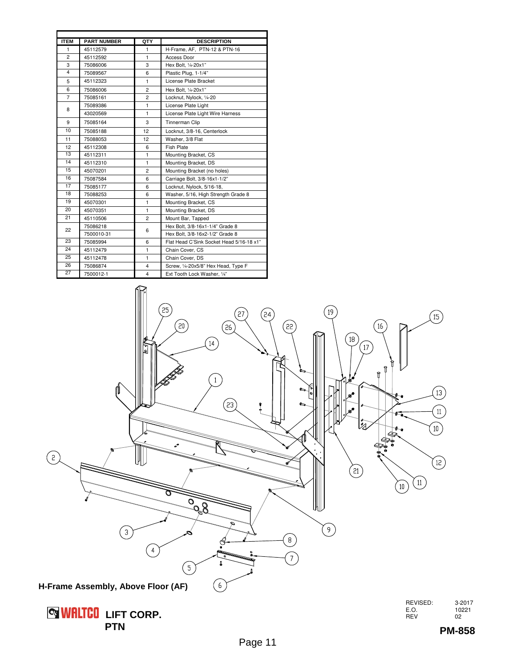| <b>ITEM</b>     | <b>PART NUMBER</b> | QTY            | <b>DESCRIPTION</b>                       |
|-----------------|--------------------|----------------|------------------------------------------|
| 1               | 45112579           | 1              | H-Frame, AF, PTN-12 & PTN-16             |
| $\overline{c}$  | 45112592           | $\mathbf{1}$   | Access Door                              |
| 3               | 75086006           | 3              | Hex Bolt, 1/4-20x1"                      |
| 4               | 75089567           | 6              | Plastic Plug, 1-1/4"                     |
| 5               | 45112323           | $\mathbf{1}$   | License Plate Bracket                    |
| 6               | 75086006           | $\overline{2}$ | Hex Bolt, 1/4-20x1"                      |
| $\overline{7}$  | 75085161           | $\overline{2}$ | Locknut, Nylock, 1/4-20                  |
| 8               | 75089386           | $\mathbf{1}$   | License Plate Light                      |
|                 | 43020569           | $\mathbf{1}$   | License Plate Light Wire Harness         |
| 9               | 75085164           | 3              | Tinnerman Clip                           |
| 10              | 75085188           | 12             | Locknut, 3/8-16, Centerlock              |
| 11              | 75088053           | 12             | Washer, 3/8 Flat                         |
| 12              | 45112308           | 6              | <b>Fish Plate</b>                        |
| 13              | 45112311           | $\mathbf{1}$   | Mounting Bracket, CS                     |
| 14              | 45112310           | $\mathbf{1}$   | Mounting Bracket, DS                     |
| 15              | 45070201           | $\overline{2}$ | Mounting Bracket (no holes)              |
| 16              | 75087584           | 6              | Carriage Bolt, 3/8-16x1-1/2"             |
| 17              | 75085177           | 6              | Locknut, Nylock, 5/16-18,                |
| 18              | 75088253           | 6              | Washer, 5/16, High Strength Grade 8      |
| 19              | 45070301           | $\mathbf{1}$   | Mounting Bracket, CS                     |
| 20              | 45070351           | $\mathbf{1}$   | Mounting Bracket, DS                     |
| 21              | 45110506           | $\overline{c}$ | Mount Bar, Tapped                        |
| 22              | 75086218           | 6              | Hex Bolt, 3/8-16x1-1/4" Grade 8          |
|                 | 7500010-31         |                | Hex Bolt, 3/8-16x2-1/2" Grade 8          |
| 23              | 75085994           | 6              | Flat Head C'Sink Socket Head 5/16-18 x1" |
| 24              | 45112479           | $\mathbf{1}$   | Chain Cover, CS                          |
| 25              | 45112478           | $\mathbf{1}$   | Chain Cover, DS                          |
| 26              | 75086874           | 4              | Screw, 1/4-20x5/8" Hex Head, Type F      |
| $\overline{27}$ | 7500012-1          | $\overline{4}$ | Ext Tooth Lock Washer, 1/4"              |



 **LIFT CORP. PTN**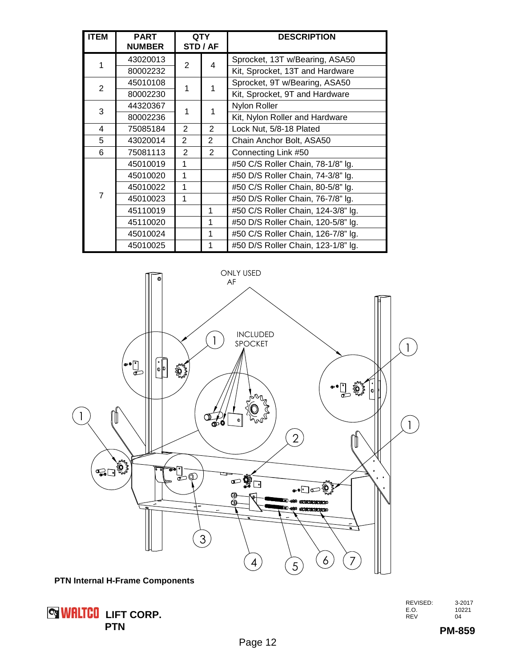| <b>ITEM</b>    | <b>PART</b><br><b>NUMBER</b> |                | <b>QTY</b><br><b>STD / AF</b> | <b>DESCRIPTION</b>                 |
|----------------|------------------------------|----------------|-------------------------------|------------------------------------|
| 1              | 43020013                     | 2              |                               | Sprocket, 13T w/Bearing, ASA50     |
|                | 80002232                     |                | 4                             | Kit, Sprocket, 13T and Hardware    |
| $\overline{2}$ | 45010108                     | 1              |                               | Sprocket, 9T w/Bearing, ASA50      |
|                | 80002230                     |                |                               | Kit, Sprocket, 9T and Hardware     |
| 3              | 44320367                     | 1              |                               | Nylon Roller                       |
|                | 80002236                     |                |                               | Kit, Nylon Roller and Hardware     |
| 4              | 75085184                     | 2              | $\overline{2}$                | Lock Nut, 5/8-18 Plated            |
| 5              | 43020014                     | 2              | $\overline{2}$                | Chain Anchor Bolt, ASA50           |
| 6              | 75081113                     | $\overline{2}$ | 2                             | Connecting Link #50                |
|                | 45010019                     | 1              |                               | #50 C/S Roller Chain, 78-1/8" lg.  |
|                | 45010020                     | 1              |                               | #50 D/S Roller Chain, 74-3/8" lg.  |
|                | 45010022                     | 1              |                               | #50 C/S Roller Chain, 80-5/8" lg.  |
| 7              | 45010023                     | 1              |                               | #50 D/S Roller Chain, 76-7/8" lg.  |
|                | 45110019                     |                | 1                             | #50 C/S Roller Chain, 124-3/8" lg. |
|                | 45110020                     |                | 1                             | #50 D/S Roller Chain, 120-5/8" lg. |
|                | 45010024                     |                | 1                             | #50 C/S Roller Chain, 126-7/8" lg. |
|                | 45010025                     |                |                               | #50 D/S Roller Chain, 123-1/8" lg. |



**PTN Internal H-Frame Components**



| REVISED: | 3-2017 |
|----------|--------|
| E.O.     | 10221  |
| REV      | 04     |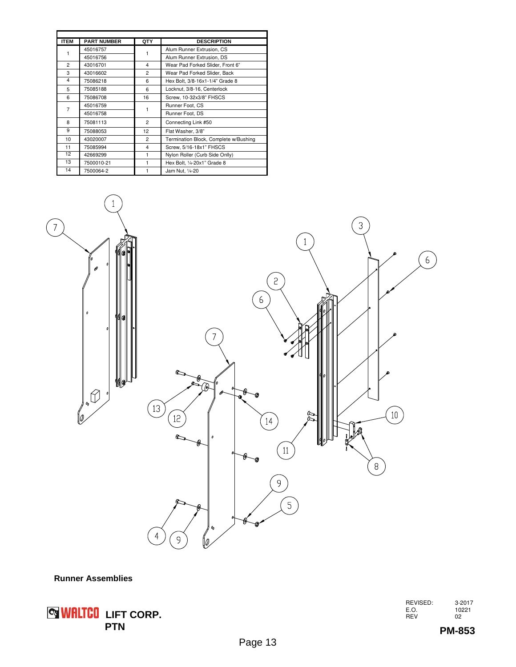| <b>ITEM</b>    | <b>PART NUMBER</b> | QTY            | <b>DESCRIPTION</b>                    |
|----------------|--------------------|----------------|---------------------------------------|
| 1              | 45016757           | 1              | Alum Runner Extrusion, CS             |
|                | 45016756           |                | Alum Runner Extrusion, DS             |
| $\overline{2}$ | 43016701           | 4              | Wear Pad Forked Slider, Front 6"      |
| 3              | 43016602           | $\overline{2}$ | Wear Pad Forked Slider, Back          |
| 4              | 75086218           | 6              | Hex Bolt, 3/8-16x1-1/4" Grade 8       |
| 5              | 75085188           | 6              | Locknut, 3/8-16, Centerlock           |
| 6              | 75086708           | 16             | Screw, 10-32x3/8" FHSCS               |
| 7              | 45016759           | 1              | Runner Foot, CS                       |
|                | 45016758           |                | Runner Foot, DS                       |
| 8              | 75081113           | 2              | Connecting Link #50                   |
| 9              | 75088053           | 12             | Flat Washer, 3/8"                     |
| 10             | 43020007           | $\overline{2}$ | Termination Block, Complete w/Bushing |
| 11             | 75085994           | 4              | Screw, 5/16-18x1" FHSCS               |
| 12             | 42669299           | 1              | Nylon Roller (Curb Side Onlly)        |
| 13             | 7500010-21         | 1              | Hex Bolt, 1/4-20x1" Grade 8           |
| 14             | 7500064-2          |                | Jam Nut, 1/4-20                       |



#### **Runner Assemblies**

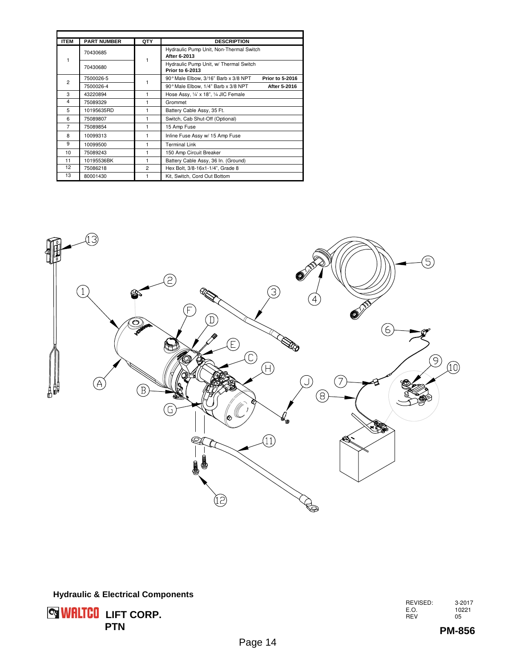| <b>ITEM</b>    | <b>PART NUMBER</b> | QTY            | <b>DESCRIPTION</b>                                             |
|----------------|--------------------|----------------|----------------------------------------------------------------|
| 1              | 70430685           |                | Hydraulic Pump Unit, Non-Thermal Switch<br>After 6-2013        |
|                | 70430680           |                | Hydraulic Pump Unit, w/ Thermal Switch<br>Prior to 6-2013      |
| $\overline{2}$ | 7500026-5          |                | <b>Prior to 5-2016</b><br>90° Male Elbow, 3/16" Barb x 3/8 NPT |
|                | 7500026-4          |                | 90° Male Elbow, 1/4" Barb x 3/8 NPT<br>After 5-2016            |
| 3              | 43220894           | 1              | Hose Assy, 1/4' x 18", 1/4 JIC Female                          |
| 4              | 75089329           | 1              | Grommet                                                        |
| 5              | 10195635RD         |                | Battery Cable Assy, 35 Ft.                                     |
| 6              | 75089807           | 1              | Switch, Cab Shut-Off (Optional)                                |
| $\overline{7}$ | 75089854           | 1              | 15 Amp Fuse                                                    |
| 8              | 10099313           | 1              | Inline Fuse Assy w/ 15 Amp Fuse                                |
| 9              | 10099500           | 1              | <b>Terminal Link</b>                                           |
| 10             | 75089243           | 1              | 150 Amp Circuit Breaker                                        |
| 11             | 10195536BK         | 1              | Battery Cable Assy, 36 In. (Ground)                            |
| 12             | 75086218           | $\overline{2}$ | Hex Bolt, 3/8-16x1-1/4", Grade 8                               |
| 13             | 80001430           |                | Kit, Switch, Cord Out Bottom                                   |





REVISED: 3-2017 E.O. 10221 REV 05

**PM-856**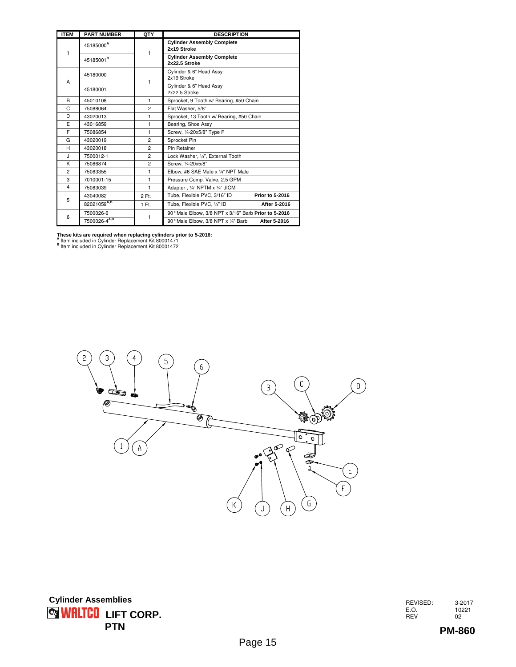| <b>ITEM</b>             | <b>PART NUMBER</b>    | QTY            | <b>DESCRIPTION</b>                                   |
|-------------------------|-----------------------|----------------|------------------------------------------------------|
| 1                       | 45185000 <sup>A</sup> | 1              | <b>Cylinder Assembly Complete</b><br>2x19 Stroke     |
|                         | 45185001 <sup>B</sup> |                | <b>Cylinder Assembly Complete</b><br>2x22.5 Stroke   |
| A                       | 45180000              | 1              | Cylinder & 6" Head Assy<br>2x19 Stroke               |
|                         | 45180001              |                | Cylinder & 6" Head Assy<br>2x22.5 Stroke             |
| B                       | 45010108              | 1              | Sprocket, 9 Tooth w/ Bearing, #50 Chain              |
| C                       | 75088064              | $\overline{2}$ | Flat Washer, 5/8"                                    |
| D                       | 43020013              | 1              | Sprocket, 13 Tooth w/ Bearing, #50 Chain             |
| E                       | 43016859              | 1              | Bearing, Shoe Assy                                   |
| F                       | 75086854              | $\mathbf{1}$   | Screw, 1/4-20x5/8" Type F                            |
| G                       | 43020019              | $\overline{2}$ | Sprocket Pin                                         |
| н                       | 43020018              | $\overline{a}$ | Pin Retainer                                         |
| J.                      | 7500012-1             | $\overline{2}$ | Lock Washer, 1/4", External Tooth                    |
| K                       | 75086874              | $\overline{c}$ | Screw. 1/4-20x5/8"                                   |
| $\overline{2}$          | 75083355              | 1              | Elbow, #6 SAE Male x 1/4" NPT Male                   |
| 3                       | 7010001-15            | $\mathbf{1}$   | Pressure Comp. Valve, 2.5 GPM                        |
| $\overline{\mathbf{4}}$ | 75083039              | $\mathbf{1}$   | Adapter, 1/4" NPTM x 1/4" JICM                       |
| 5                       | 43040082              | 2 Ft.          | Tube, Flexible PVC, 3/16" ID<br>Prior to 5-2016      |
|                         | 82021059A,B           | 1 Ft.          | Tube, Flexible PVC, 1/4" ID<br>After 5-2016          |
| 6                       | 7500026-6             | 1              | 90° Male Elbow, 3/8 NPT x 3/16" Barb Prior to 5-2016 |
|                         | 7500026-4A,B          |                | 90° Male Elbow, 3/8 NPT x 1/4" Barb<br>After 5-2016  |

**These kits are required when replacing cylinders prior to 5-2016:**<br><sup>A</sup> Item included in Cylinder Replacement Kit 80001471<br><sup>B</sup> Item included in Cylinder Replacement Kit 80001472



REVISED: 3-2017 E.O. 10221 REV 02

**PM-860**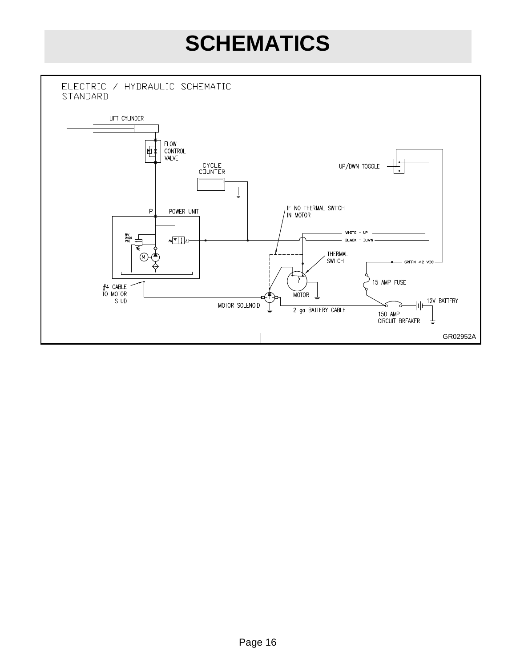### **SCHEMATICS**

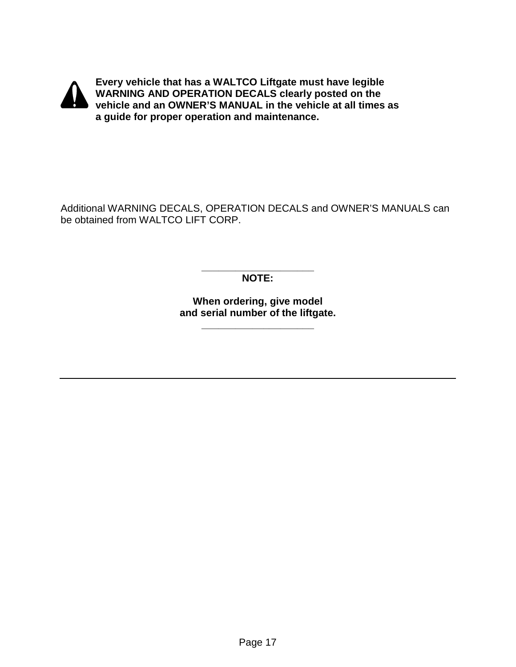

**Every vehicle that has a WALTCO Liftgate must have legible WARNING AND OPERATION DECALS clearly posted on the vehicle and an OWNER'S MANUAL in the vehicle at all times as a guide for proper operation and maintenance.** 

Additional WARNING DECALS, OPERATION DECALS and OWNER'S MANUALS can be obtained from WALTCO LIFT CORP.

> **\_\_\_\_\_\_\_\_\_\_\_\_\_\_\_\_\_\_\_\_ NOTE:**

**When ordering, give model and serial number of the liftgate.** 

**\_\_\_\_\_\_\_\_\_\_\_\_\_\_\_\_\_\_\_\_**